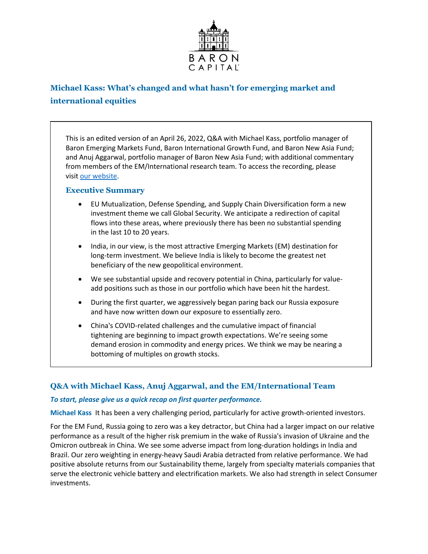

# **Michael Kass: What's changed and what hasn't for emerging market and international equities**

This is an edited version of an April 26, 2022, Q&A with Michael Kass, portfolio manager of Baron Emerging Markets Fund, Baron International Growth Fund, and Baron New Asia Fund; and Anuj Aggarwal, portfolio manager of Baron New Asia Fund; with additional commentary from members of the EM/International research team. To access the recording, please visit [our website.](https://www.baronfunds.com/insights/conference-calls)

# **Executive Summary**

- EU Mutualization, Defense Spending, and Supply Chain Diversification form a new investment theme we call Global Security. We anticipate a redirection of capital flows into these areas, where previously there has been no substantial spending in the last 10 to 20 years.
- India, in our view, is the most attractive Emerging Markets (EM) destination for long-term investment. We believe India is likely to become the greatest net beneficiary of the new geopolitical environment.
- We see substantial upside and recovery potential in China, particularly for valueadd positions such as those in our portfolio which have been hit the hardest.
- During the first quarter, we aggressively began paring back our Russia exposure and have now written down our exposure to essentially zero.
- China's COVID-related challenges and the cumulative impact of financial tightening are beginning to impact growth expectations. We're seeing some demand erosion in commodity and energy prices. We think we may be nearing a bottoming of multiples on growth stocks.

# **Q&A with Michael Kass, Anuj Aggarwal, and the EM/International Team**

# *To start, please give us a quick recap on first quarter performance.*

**Michael Kass** It has been a very challenging period, particularly for active growth-oriented investors.

For the EM Fund, Russia going to zero was a key detractor, but China had a larger impact on our relative performance as a result of the higher risk premium in the wake of Russia's invasion of Ukraine and the Omicron outbreak in China. We see some adverse impact from long-duration holdings in India and Brazil. Our zero weighting in energy-heavy Saudi Arabia detracted from relative performance. We had positive absolute returns from our Sustainability theme, largely from specialty materials companies that serve the electronic vehicle battery and electrification markets. We also had strength in select Consumer investments.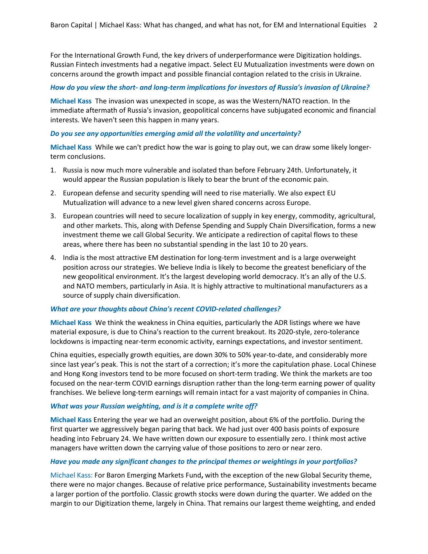For the International Growth Fund, the key drivers of underperformance were Digitization holdings. Russian Fintech investments had a negative impact. Select EU Mutualization investments were down on concerns around the growth impact and possible financial contagion related to the crisis in Ukraine.

# *How do you view the short- and long-term implications for investors of Russia's invasion of Ukraine?*

**Michael Kass** The invasion was unexpected in scope, as was the Western/NATO reaction. In the immediate aftermath of Russia's invasion, geopolitical concerns have subjugated economic and financial interests. We haven't seen this happen in many years.

# *Do you see any opportunities emerging amid all the volatility and uncertainty?*

**Michael Kass** While we can't predict how the war is going to play out, we can draw some likely longerterm conclusions.

- 1. Russia is now much more vulnerable and isolated than before February 24th. Unfortunately, it would appear the Russian population is likely to bear the brunt of the economic pain.
- 2. European defense and security spending will need to rise materially. We also expect EU Mutualization will advance to a new level given shared concerns across Europe.
- 3. European countries will need to secure localization of supply in key energy, commodity, agricultural, and other markets. This, along with Defense Spending and Supply Chain Diversification, forms a new investment theme we call Global Security. We anticipate a redirection of capital flows to these areas, where there has been no substantial spending in the last 10 to 20 years.
- 4. India is the most attractive EM destination for long-term investment and is a large overweight position across our strategies. We believe India is likely to become the greatest beneficiary of the new geopolitical environment. It's the largest developing world democracy. It's an ally of the U.S. and NATO members, particularly in Asia. It is highly attractive to multinational manufacturers as a source of supply chain diversification.

# *What are your thoughts about China's recent COVID-related challenges?*

**Michael Kass** We think the weakness in China equities, particularly the ADR listings where we have material exposure, is due to China's reaction to the current breakout. Its 2020-style, zero-tolerance lockdowns is impacting near-term economic activity, earnings expectations, and investor sentiment.

China equities, especially growth equities, are down 30% to 50% year-to-date, and considerably more since last year's peak. This is not the start of a correction; it's more the capitulation phase. Local Chinese and Hong Kong investors tend to be more focused on short-term trading. We think the markets are too focused on the near-term COVID earnings disruption rather than the long-term earning power of quality franchises. We believe long-term earnings will remain intact for a vast majority of companies in China.

# *What was your Russian weighting, and is it a complete write off?*

**Michael Kass** Entering the year we had an overweight position, about 6% of the portfolio. During the first quarter we aggressively began paring that back. We had just over 400 basis points of exposure heading into February 24. We have written down our exposure to essentially zero. I think most active managers have written down the carrying value of those positions to zero or near zero.

#### *Have you made any significant changes to the principal themes or weightings in your portfolios?*

Michael Kass: For Baron Emerging Markets Fund**,** with the exception of the new Global Security theme, there were no major changes. Because of relative price performance, Sustainability investments became a larger portion of the portfolio. Classic growth stocks were down during the quarter. We added on the margin to our Digitization theme, largely in China. That remains our largest theme weighting, and ended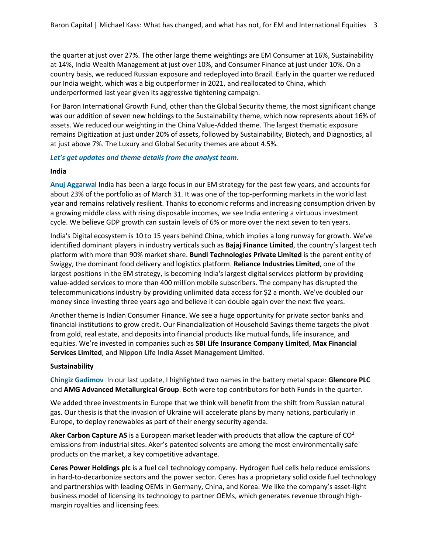the quarter at just over 27%. The other large theme weightings are EM Consumer at 16%, Sustainability at 14%, India Wealth Management at just over 10%, and Consumer Finance at just under 10%. On a country basis, we reduced Russian exposure and redeployed into Brazil. Early in the quarter we reduced our India weight, which was a big outperformer in 2021, and reallocated to China, which underperformed last year given its aggressive tightening campaign.

For Baron International Growth Fund, other than the Global Security theme, the most significant change was our addition of seven new holdings to the Sustainability theme, which now represents about 16% of assets. We reduced our weighting in the China Value-Added theme. The largest thematic exposure remains Digitization at just under 20% of assets, followed by Sustainability, Biotech, and Diagnostics, all at just above 7%. The Luxury and Global Security themes are about 4.5%.

# *Let's get updates and theme details from the analyst team.*

#### **India**

**Anuj Aggarwal** India has been a large focus in our EM strategy for the past few years, and accounts for about 23% of the portfolio as of March 31. It was one of the top-performing markets in the world last year and remains relatively resilient. Thanks to economic reforms and increasing consumption driven by a growing middle class with rising disposable incomes, we see India entering a virtuous investment cycle. We believe GDP growth can sustain levels of 6% or more over the next seven to ten years.

India's Digital ecosystem is 10 to 15 years behind China, which implies a long runway for growth. We've identified dominant players in industry verticals such as **Bajaj Finance Limited**, the country's largest tech platform with more than 90% market share. **Bundl Technologies Private Limited** is the parent entity of Swiggy, the dominant food delivery and logistics platform. **Reliance Industries Limited**, one of the largest positions in the EM strategy, is becoming India's largest digital services platform by providing value-added services to more than 400 million mobile subscribers. The company has disrupted the telecommunications industry by providing unlimited data access for \$2 a month. We've doubled our money since investing three years ago and believe it can double again over the next five years.

Another theme is Indian Consumer Finance. We see a huge opportunity for private sector banks and financial institutions to grow credit. Our Financialization of Household Savings theme targets the pivot from gold, real estate, and deposits into financial products like mutual funds, life insurance, and equities. We're invested in companies such as **SBI Life Insurance Company Limited**, **Max Financial Services Limited**, and **Nippon Life India Asset Management Limited**.

# **Sustainability**

**Chingiz Gadimov** In our last update, I highlighted two names in the battery metal space: **Glencore PLC**  and **AMG Advanced Metallurgical Group**. Both were top contributors for both Funds in the quarter.

We added three investments in Europe that we think will benefit from the shift from Russian natural gas. Our thesis is that the invasion of Ukraine will accelerate plans by many nations, particularly in Europe, to deploy renewables as part of their energy security agenda.

**Aker Carbon Capture AS** is a European market leader with products that allow the capture of CO<sup>2</sup> emissions from industrial sites. Aker's patented solvents are among the most environmentally safe products on the market, a key competitive advantage.

**Ceres Power Holdings plc** is a fuel cell technology company. Hydrogen fuel cells help reduce emissions in hard-to-decarbonize sectors and the power sector. Ceres has a proprietary solid oxide fuel technology and partnerships with leading OEMs in Germany, China, and Korea. We like the company's asset-light business model of licensing its technology to partner OEMs, which generates revenue through highmargin royalties and licensing fees.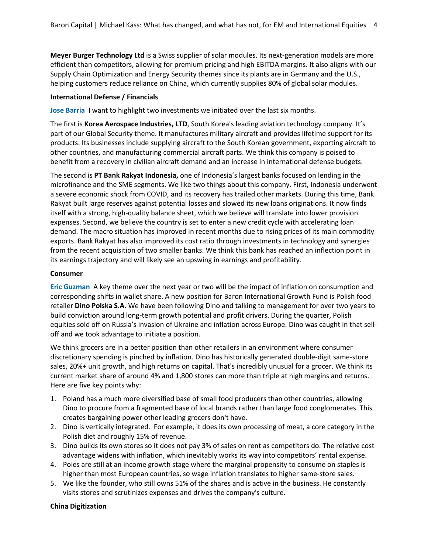**Meyer Burger Technology Ltd** is a Swiss supplier of solar modules. Its next-generation models are more efficient than competitors, allowing for premium pricing and high EBITDA margins. It also aligns with our Supply Chain Optimization and Energy Security themes since its plants are in Germany and the U.S., helping customers reduce reliance on China, which currently supplies 80% of global solar modules.

#### **International Defense / Financials**

**Jose Barria** I want to highlight two investments we initiated over the last six months.

The first is **Korea Aerospace Industries, LTD**, South Korea's leading aviation technology company. It's part of our Global Security theme. It manufactures military aircraft and provides lifetime support for its products. Its businesses include supplying aircraft to the South Korean government, exporting aircraft to other countries, and manufacturing commercial aircraft parts. We think this company is poised to benefit from a recovery in civilian aircraft demand and an increase in international defense budgets.

The second is **PT Bank Rakyat Indonesia,** one of Indonesia's largest banks focused on lending in the microfinance and the SME segments. We like two things about this company. First, Indonesia underwent a severe economic shock from COVID, and its recovery has trailed other markets. During this time, Bank Rakyat built large reserves against potential losses and slowed its new loans originations. It now finds itself with a strong, high-quality balance sheet, which we believe will translate into lower provision expenses. Second, we believe the country is set to enter a new credit cycle with accelerating loan demand. The macro situation has improved in recent months due to rising prices of its main commodity exports. Bank Rakyat has also improved its cost ratio through investments in technology and synergies from the recent acquisition of two smaller banks. We think this bank has reached an inflection point in its earnings trajectory and will likely see an upswing in earnings and profitability.

#### **Consumer**

**Eric Guzman** A key theme over the next year or two will be the impact of inflation on consumption and corresponding shifts in wallet share. A new position for Baron International Growth Fund is Polish food retailer **Dino Polska S.A.** We have been following Dino and talking to management for over two years to build conviction around long-term growth potential and profit drivers. During the quarter, Polish equities sold off on Russia's invasion of Ukraine and inflation across Europe. Dino was caught in that selloff and we took advantage to initiate a position.

We think grocers are in a better position than other retailers in an environment where consumer discretionary spending is pinched by inflation. Dino has historically generated double-digit same-store sales, 20%+ unit growth, and high returns on capital. That's incredibly unusual for a grocer. We think its current market share of around 4% and 1,800 stores can more than triple at high margins and returns. Here are five key points why:

- 1. Poland has a much more diversified base of small food producers than other countries, allowing Dino to procure from a fragmented base of local brands rather than large food conglomerates. This creates bargaining power other leading grocers don't have.
- 2. Dino is vertically integrated. For example, it does its own processing of meat, a core category in the Polish diet and roughly 15% of revenue.
- 3. Dino builds its own stores so it does not pay 3% of sales on rent as competitors do. The relative cost advantage widens with inflation, which inevitably works its way into competitors' rental expense.
- 4. Poles are still at an income growth stage where the marginal propensity to consume on staples is higher than most European countries, so wage inflation translates to higher same-store sales.
- 5. We like the founder, who still owns 51% of the shares and is active in the business. He constantly visits stores and scrutinizes expenses and drives the company's culture.

# **China Digitization**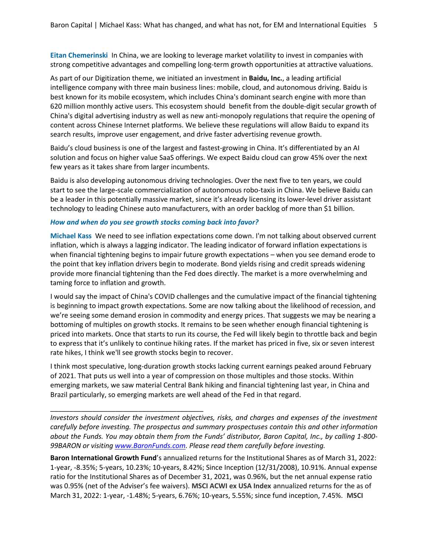**Eitan Chemerinski** In China, we are looking to leverage market volatility to invest in companies with strong competitive advantages and compelling long-term growth opportunities at attractive valuations.

As part of our Digitization theme, we initiated an investment in **Baidu, Inc.**, a leading artificial intelligence company with three main business lines: mobile, cloud, and autonomous driving. Baidu is best known for its mobile ecosystem, which includes China's dominant search engine with more than 620 million monthly active users. This ecosystem should benefit from the double-digit secular growth of China's digital advertising industry as well as new anti-monopoly regulations that require the opening of content across Chinese Internet platforms. We believe these regulations will allow Baidu to expand its search results, improve user engagement, and drive faster advertising revenue growth.

Baidu's cloud business is one of the largest and fastest-growing in China. It's differentiated by an AI solution and focus on higher value SaaS offerings. We expect Baidu cloud can grow 45% over the next few years as it takes share from larger incumbents.

Baidu is also developing autonomous driving technologies. Over the next five to ten years, we could start to see the large-scale commercialization of autonomous robo-taxis in China. We believe Baidu can be a leader in this potentially massive market, since it's already licensing its lower-level driver assistant technology to leading Chinese auto manufacturers, with an order backlog of more than \$1 billion.

#### *How and when do you see growth stocks coming back into favor?*

\_\_\_\_\_\_\_\_\_\_\_\_\_\_\_\_\_\_\_\_\_\_\_\_\_\_\_\_\_\_\_\_\_\_\_\_\_\_\_\_

**Michael Kass** We need to see inflation expectations come down. I'm not talking about observed current inflation, which is always a lagging indicator. The leading indicator of forward inflation expectations is when financial tightening begins to impair future growth expectations – when you see demand erode to the point that key inflation drivers begin to moderate. Bond yields rising and credit spreads widening provide more financial tightening than the Fed does directly. The market is a more overwhelming and taming force to inflation and growth.

I would say the impact of China's COVID challenges and the cumulative impact of the financial tightening is beginning to impact growth expectations. Some are now talking about the likelihood of recession, and we're seeing some demand erosion in commodity and energy prices. That suggests we may be nearing a bottoming of multiples on growth stocks. It remains to be seen whether enough financial tightening is priced into markets. Once that starts to run its course, the Fed will likely begin to throttle back and begin to express that it's unlikely to continue hiking rates. If the market has priced in five, six or seven interest rate hikes, I think we'll see growth stocks begin to recover.

I think most speculative, long-duration growth stocks lacking current earnings peaked around February of 2021. That puts us well into a year of compression on those multiples and those stocks. Within emerging markets, we saw material Central Bank hiking and financial tightening last year, in China and Brazil particularly, so emerging markets are well ahead of the Fed in that regard.

*Investors should consider the investment objectives, risks, and charges and expenses of the investment carefully before investing. The prospectus and summary prospectuses contain this and other information about the Funds. You may obtain them from the Funds' distributor, Baron Capital, Inc., by calling 1-800- 99BARON or visitin[g www.BaronFunds.com.](http://www.baronfunds.com/) Please read them carefully before investing.*

**Baron International Growth Fund**'s annualized returns for the Institutional Shares as of March 31, 2022: 1-year, -8.35%; 5-years, 10.23%; 10-years, 8.42%; Since Inception (12/31/2008), 10.91%. Annual expense ratio for the Institutional Shares as of December 31, 2021, was 0.96%, but the net annual expense ratio was 0.95% (net of the Adviser's fee waivers). **MSCI ACWI ex USA Index** annualized returns for the as of March 31, 2022: 1-year, -1.48%; 5-years, 6.76%; 10-years, 5.55%; since fund inception, 7.45%. **MSCI**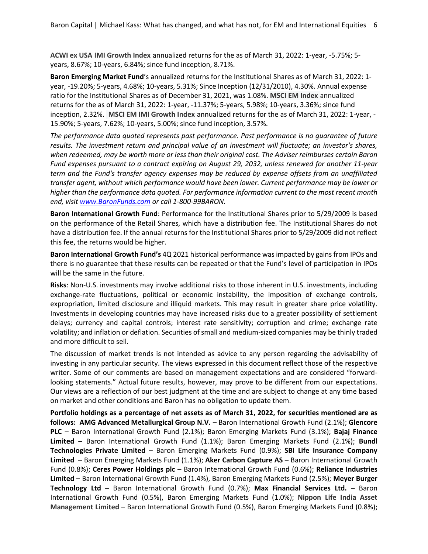**ACWI ex USA IMI Growth Index** annualized returns for the as of March 31, 2022: 1-year, -5.75%; 5 years, 8.67%; 10-years, 6.84%; since fund inception, 8.71%.

**Baron Emerging Market Fund**'s annualized returns for the Institutional Shares as of March 31, 2022: 1 year, -19.20%; 5-years, 4.68%; 10-years, 5.31%; Since Inception (12/31/2010), 4.30%. Annual expense ratio for the Institutional Shares as of December 31, 2021, was 1.08%. **MSCI EM Index** annualized returns for the as of March 31, 2022: 1-year, -11.37%; 5-years, 5.98%; 10-years, 3.36%; since fund inception, 2.32%. **MSCI EM IMI Growth Index** annualized returns for the as of March 31, 2022: 1-year, - 15.90%; 5-years, 7.62%; 10-years, 5.00%; since fund inception, 3.57%.

*The performance data quoted represents past performance. Past performance is no guarantee of future results. The investment return and principal value of an investment will fluctuate; an investor's shares, when redeemed, may be worth more or less than their original cost. The Adviser reimburses certain Baron Fund expenses pursuant to a contract expiring on August 29, 2032, unless renewed for another 11-year term and the Fund's transfer agency expenses may be reduced by expense offsets from an unaffiliated transfer agent, without which performance would have been lower. Current performance may be lower or higher than the performance data quoted. For performance information current to the most recent month end, visit [www.BaronFunds.com](http://www.baronfunds.com/) or call 1-800-99BARON.*

**Baron International Growth Fund**: Performance for the Institutional Shares prior to 5/29/2009 is based on the performance of the Retail Shares, which have a distribution fee. The Institutional Shares do not have a distribution fee. If the annual returns for the Institutional Shares prior to 5/29/2009 did not reflect this fee, the returns would be higher.

**Baron International Growth Fund's** 4Q 2021 historical performance was impacted by gains from IPOs and there is no guarantee that these results can be repeated or that the Fund's level of participation in IPOs will be the same in the future.

**Risks**: Non-U.S. investments may involve additional risks to those inherent in U.S. investments, including exchange-rate fluctuations, political or economic instability, the imposition of exchange controls, expropriation, limited disclosure and illiquid markets. This may result in greater share price volatility. Investments in developing countries may have increased risks due to a greater possibility of settlement delays; currency and capital controls; interest rate sensitivity; corruption and crime; exchange rate volatility; and inflation or deflation. Securities of small and medium-sized companies may be thinly traded and more difficult to sell.

The discussion of market trends is not intended as advice to any person regarding the advisability of investing in any particular security. The views expressed in this document reflect those of the respective writer. Some of our comments are based on management expectations and are considered "forwardlooking statements." Actual future results, however, may prove to be different from our expectations. Our views are a reflection of our best judgment at the time and are subject to change at any time based on market and other conditions and Baron has no obligation to update them.

**Portfolio holdings as a percentage of net assets as of March 31, 2022, for securities mentioned are as follows: AMG Advanced Metallurgical Group N.V.** – Baron International Growth Fund (2.1%); **Glencore PLC** – Baron International Growth Fund (2.1%); Baron Emerging Markets Fund (3.1%); **Bajaj Finance Limited** – Baron International Growth Fund (1.1%); Baron Emerging Markets Fund (2.1%); **Bundl Technologies Private Limited** – Baron Emerging Markets Fund (0.9%); **SBI Life Insurance Company Limited** – Baron Emerging Markets Fund (1.1%); **Aker Carbon Capture AS** – Baron International Growth Fund (0.8%); **Ceres Power Holdings plc** – Baron International Growth Fund (0.6%); **Reliance Industries Limited** – Baron International Growth Fund (1.4%), Baron Emerging Markets Fund (2.5%); **Meyer Burger Technology Ltd** – Baron International Growth Fund (0.7%); **Max Financial Services Ltd.** – Baron International Growth Fund (0.5%), Baron Emerging Markets Fund (1.0%); **Nippon Life India Asset Management Limited** – Baron International Growth Fund (0.5%), Baron Emerging Markets Fund (0.8%);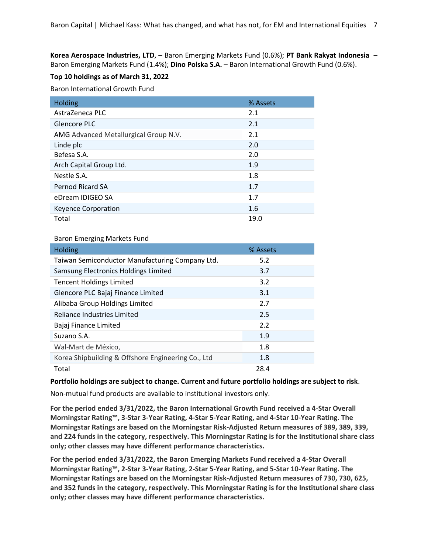**Korea Aerospace Industries, LTD**, – Baron Emerging Markets Fund (0.6%); **PT Bank Rakyat Indonesia** – Baron Emerging Markets Fund (1.4%); **Dino Polska S.A.** – Baron International Growth Fund (0.6%).

# **Top 10 holdings as of March 31, 2022**

Baron International Growth Fund

| <b>Holding</b>                        | % Assets |
|---------------------------------------|----------|
| AstraZeneca PLC                       | 2.1      |
| Glencore PLC                          | 2.1      |
| AMG Advanced Metallurgical Group N.V. | 2.1      |
| Linde plc                             | 2.0      |
| Befesa S.A.                           | 2.0      |
| Arch Capital Group Ltd.               | 1.9      |
| Nestle S.A.                           | 1.8      |
| Pernod Ricard SA                      | 1.7      |
| eDream IDIGEO SA                      | 1.7      |
| <b>Keyence Corporation</b>            | 1.6      |
| Total                                 | 19.0     |

Baron Emerging Markets Fund

| Holding                                            | % Assets |
|----------------------------------------------------|----------|
| Taiwan Semiconductor Manufacturing Company Ltd.    | 5.2      |
| Samsung Electronics Holdings Limited               | 3.7      |
| <b>Tencent Holdings Limited</b>                    | 3.2      |
| Glencore PLC Bajaj Finance Limited                 | 3.1      |
| Alibaba Group Holdings Limited                     | 2.7      |
| Reliance Industries Limited                        | 2.5      |
| Bajaj Finance Limited                              | 2.2      |
| Suzano S.A.                                        | 1.9      |
| Wal-Mart de México,                                | 1.8      |
| Korea Shipbuilding & Offshore Engineering Co., Ltd | 1.8      |
| Total                                              | 28.4     |

**Portfolio holdings are subject to change. Current and future portfolio holdings are subject to risk**.

Non-mutual fund products are available to institutional investors only.

**For the period ended 3/31/2022, the Baron International Growth Fund received a 4-Star Overall Morningstar Rating™, 3-Star 3-Year Rating, 4-Star 5-Year Rating, and 4-Star 10-Year Rating. The Morningstar Ratings are based on the Morningstar Risk-Adjusted Return measures of 389, 389, 339, and 224 funds in the category, respectively. This Morningstar Rating is for the Institutional share class only; other classes may have different performance characteristics.**

**For the period ended 3/31/2022, the Baron Emerging Markets Fund received a 4-Star Overall Morningstar Rating™, 2-Star 3-Year Rating, 2-Star 5-Year Rating, and 5-Star 10-Year Rating. The Morningstar Ratings are based on the Morningstar Risk-Adjusted Return measures of 730, 730, 625, and 352 funds in the category, respectively. This Morningstar Rating is for the Institutional share class only; other classes may have different performance characteristics.**